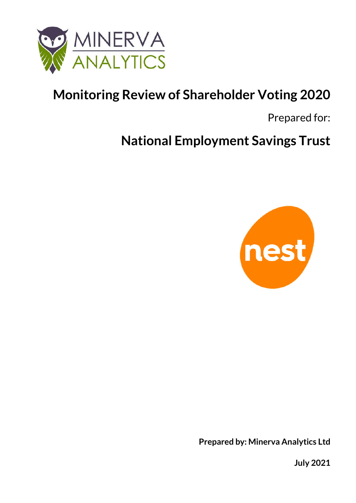

# **Monitoring Review of Shareholder Voting 2020**

Prepared for:

**National Employment Savings Trust**



**Prepared by: Minerva Analytics Ltd**

**July 2021**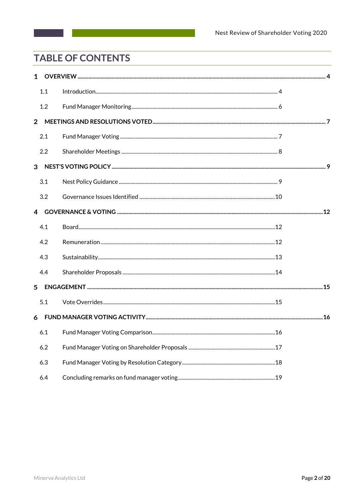## **TABLE OF CONTENTS**

|                | $1 \quad$ |  |
|----------------|-----------|--|
|                | 1.1       |  |
|                | 1.2       |  |
| $\overline{2}$ |           |  |
|                | 2.1       |  |
|                | 2.2       |  |
|                |           |  |
|                | 3.1       |  |
|                | 3.2       |  |
|                |           |  |
|                | 4.1       |  |
|                | 4.2       |  |
|                | 4.3       |  |
|                | 4.4       |  |
| 5              |           |  |
|                | 5.1       |  |
|                |           |  |
|                |           |  |
|                | 6.2       |  |
|                | 6.3       |  |
|                | 6.4       |  |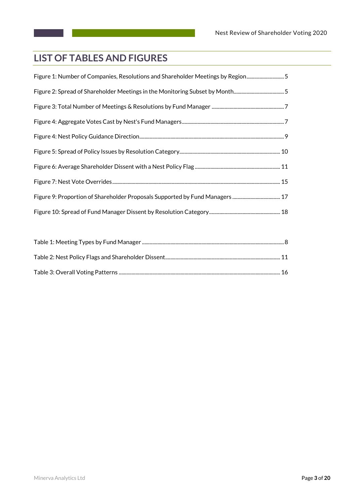## **LIST OF TABLES AND FIGURES**

| Figure 1: Number of Companies, Resolutions and Shareholder Meetings by Region5 |  |
|--------------------------------------------------------------------------------|--|
| Figure 2: Spread of Shareholder Meetings in the Monitoring Subset by Month5    |  |
|                                                                                |  |
|                                                                                |  |
|                                                                                |  |
|                                                                                |  |
|                                                                                |  |
|                                                                                |  |
|                                                                                |  |
|                                                                                |  |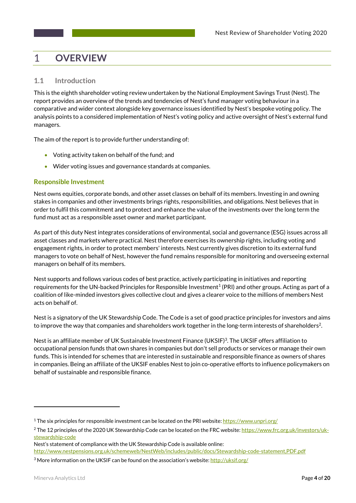#### **OVERVIEW**  $\mathbf 1$

## **1.1 Introduction**

This is the eighth shareholder voting review undertaken by the National Employment Savings Trust (Nest). The report provides an overview of the trends and tendencies of Nest's fund manager voting behaviour in a comparative and wider context alongside key governance issues identified by Nest's bespoke voting policy. The analysis points to a considered implementation of Nest's voting policy and active oversight of Nest's external fund managers.

The aim of the report is to provide further understanding of:

- Voting activity taken on behalf of the fund; and
- Wider voting issues and governance standards at companies.

## **Responsible Investment**

Nest owns equities, corporate bonds, and other asset classes on behalf of its members. Investing in and owning stakes in companies and other investments brings rights, responsibilities, and obligations. Nest believes that in order to fulfil this commitment and to protect and enhance the value of the investments over the long term the fund must act as a responsible asset owner and market participant.

As part of this duty Nest integrates considerations of environmental, social and governance (ESG) issues across all asset classes and markets where practical. Nest therefore exercises its ownership rights, including voting and engagement rights, in order to protect members' interests. Nest currently gives discretion to its external fund managers to vote on behalf of Nest, however the fund remains responsible for monitoring and overseeing external managers on behalf of its members.

Nest supports and follows various codes of best practice, actively participating in initiatives and reporting requirements for the UN-backed Principles for Responsible Investment<sup>1</sup> (PRI) and other groups. Acting as part of a coalition of like-minded investors gives collective clout and gives a clearer voice to the millions of members Nest acts on behalf of.

Nest is a signatory of the UK Stewardship Code. The Code is a set of good practice principles for investors and aims to improve the way that companies and shareholders work together in the long-term interests of shareholders<sup>2</sup>.

Nest is an affiliate member of UK Sustainable Investment Finance (UKSIF)3. The UKSIF offers affiliation to occupational pension funds that own shares in companies but don't sell products or services or manage their own funds. This is intended for schemes that are interested in sustainable and responsible finance as owners of shares in companies. Being an affiliate of the UKSIF enables Nest to join co-operative efforts to influence policymakers on behalf of sustainable and responsible finance.

<u>.</u>

<sup>&</sup>lt;sup>1</sup> The six principles for responsible investment can be located on the PRI website: https://www.unpri.org/

<sup>&</sup>lt;sup>2</sup> The 12 principles of the 2020 UK Stewardship Code can be located on the FRC website: https://www.frc.org.uk/investors/ukstewardship-code

Nest's statement of compliance with the UK Stewardship Code is available online: http://www.nestpensions.org.uk/schemeweb/NestWeb/includes/public/docs/Stewardship-code-statement,PDF.pdf

<sup>&</sup>lt;sup>3</sup> More information on the UKSIF can be found on the association's website: http://uksif.org/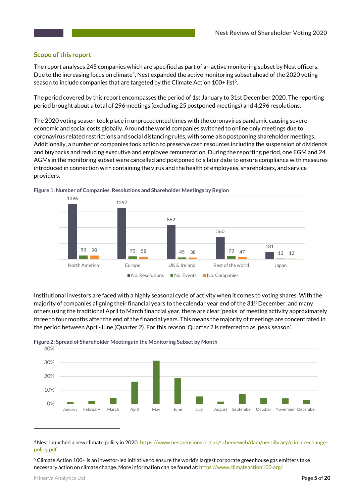#### **Scope of this report**

The report analyses 245 companies which are specified as part of an active monitoring subset by Nest officers. Due to the increasing focus on climate<sup>4</sup>, Nest expanded the active monitoring subset ahead of the 2020 voting season to include companies that are targeted by the Climate Action 100+ list<sup>5</sup>.

The period covered by this report encompasses the period of 1st January to 31st December 2020. The reporting period brought about a total of 296 meetings (excluding 25 postponed meetings) and 4,296 resolutions.

The 2020 voting season took place in unprecedented times with the coronavirus pandemic causing severe economic and social costs globally. Around the world companies switched to online only meetings due to coronavirus related restrictions and social distancing rules, with some also postponing shareholder meetings. Additionally, a number of companies took action to preserve cash resources including the suspension of dividends and buybacks and reducing executive and employee remuneration. During the reporting period, one EGM and 24 AGMs in the monitoring subset were cancelled and postponed to a later date to ensure compliance with measures introduced in connection with containing the virus and the health of employees, shareholders, and service providers.



**Figure 1: Number of Companies, Resolutions and Shareholder Meetings by Region**

Institutional investors are faced with a highly seasonal cycle of activity when it comes to voting shares. With the majority of companies aligning their financial years to the calendar year end of the 31<sup>st</sup> December, and many others using the traditional April to March financial year, there are clear 'peaks' of meeting activity approximately three to four months after the end of the financial years. This means the majority of meetings are concentrated in the period between April-June (Quarter 2). For this reason, Quarter 2 is referred to as 'peak season'.





<sup>4</sup> Nest launched a new climate policy in 2020: https://www.nestpensions.org.uk/schemeweb/dam/nestlibrary/climate-changepolicy.pdf

<u>.</u>

<sup>5</sup> Climate Action 100+ is an investor-led initiative to ensure the world's largest corporate greenhouse gas emitters take necessary action on climate change. More information can be found at: https://www.climateaction100.org/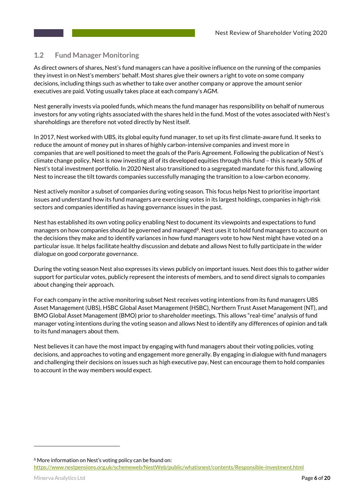### **1.2 Fund Manager Monitoring**

As direct owners of shares, Nest's fund managers can have a positive influence on the running of the companies they invest in on Nest's members' behalf. Most shares give their owners a right to vote on some company decisions, including things such as whether to take over another company or approve the amount senior executives are paid. Voting usually takes place at each company's AGM.

Nest generally invests via pooled funds, which means the fund manager has responsibility on behalf of numerous investors for any voting rights associated with the shares held in the fund. Most of the votes associated with Nest's shareholdings are therefore not voted directly by Nest itself.

In 2017, Nest worked with UBS, its global equity fund manager, to set up its first climate-aware fund. It seeks to reduce the amount of money put in shares of highly carbon-intensive companies and invest more in companies that are well positioned to meet the goals of the Paris Agreement. Following the publication of Nest's climate change policy, Nest is now investing all of its developed equities through this fund – this is nearly 50% of Nest's total investment portfolio. In 2020 Nest also transitioned to a segregated mandate for this fund, allowing Nest to increase the tilt towards companies successfully managing the transition to a low-carbon economy.

Nest actively monitor a subset of companies during voting season. This focus helps Nest to prioritise important issues and understand how its fund managers are exercising votes in its largest holdings, companies in high-risk sectors and companies identified as having governance issues in the past.

Nest has established its own voting policy enabling Nest to document its viewpoints and expectations to fund managers on how companies should be governed and managed<sup>6</sup>. Nest uses it to hold fund managers to account on the decisions they make and to identify variances in how fund managers vote to how Nest might have voted on a particular issue. It helps facilitate healthy discussion and debate and allows Nest to fully participate in the wider dialogue on good corporate governance.

During the voting season Nest also expresses its views publicly on important issues. Nest does this to gather wider support for particular votes, publicly represent the interests of members, and to send direct signals to companies about changing their approach.

For each company in the active monitoring subset Nest receives voting intentions from its fund managers UBS Asset Management (UBS), HSBC Global Asset Management (HSBC), Northern Trust Asset Management (NT), and BMO Global Asset Management (BMO) prior to shareholder meetings. This allows "real-time" analysis of fund manager voting intentions during the voting season and allows Nest to identify any differences of opinion and talk to its fund managers about them.

Nest believes it can have the most impact by engaging with fund managers about their voting policies, voting decisions, and approaches to voting and engagement more generally. By engaging in dialogue with fund managers and challenging their decisions on issues such as high executive pay, Nest can encourage them to hold companies to account in the way members would expect.

<sup>6</sup> More information on Nest's voting policy can be found on: https://www.nestpensions.org.uk/schemeweb/NestWeb/public/whatisnest/contents/Responsible-investment.html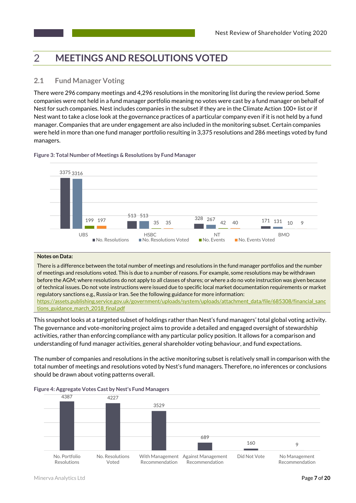#### **MEETINGS AND RESOLUTIONS VOTED**  $\mathcal{P}$

## **2.1 Fund Manager Voting**

There were 296 company meetings and 4,296 resolutions in the monitoring list during the review period. Some companies were not held in a fund manager portfolio meaning no votes were cast by a fund manager on behalf of Nest for such companies. Nest includes companies in the subset if they are in the Climate Action 100+ list or if Nest want to take a close look at the governance practices of a particular company even if it is not held by a fund manager. Companies that are under engagement are also included in the monitoring subset. Certain companies were held in more than one fund manager portfolio resulting in 3,375 resolutions and 286 meetings voted by fund managers.

#### **Figure 3: Total Number of Meetings & Resolutions by Fund Manager**



#### **Notes on Data:**

There is a difference between the total number of meetings and resolutions in the fund manager portfolios and the number of meetings and resolutions voted. This is due to a number of reasons. For example, some resolutions may be withdrawn before the AGM; where resolutions do not apply to all classes of shares; or where a do no vote instruction was given because of technical issues. Do not vote instructions were issued due to specific local market documentation requirements or market regulatory sanctions e.g., Russia or Iran. See the following guidance for more information: https://assets.publishing.service.gov.uk/government/uploads/system/uploads/attachment\_data/file/685308/financial\_sanc tions\_guidance\_march\_2018\_final.pdf

This snapshot looks at a targeted subset of holdings rather than Nest's fund managers' total global voting activity. The governance and vote-monitoring project aims to provide a detailed and engaged oversight of stewardship activities, rather than enforcing compliance with any particular policy position. It allows for a comparison and understanding of fund manager activities, general shareholder voting behaviour, and fund expectations.

The number of companies and resolutions in the active monitoring subset is relatively small in comparison with the total number of meetings and resolutions voted by Nest's fund managers. Therefore, no inferences or conclusions should be drawn about voting patterns overall.



#### **Figure 4: Aggregate Votes Cast by Nest's Fund Managers**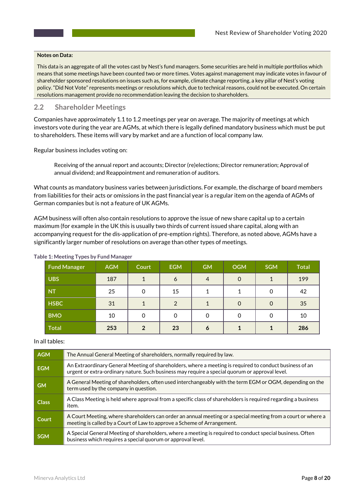#### **Notes on Data:**

This data is an aggregate of all the votes cast by Nest's fund managers. Some securities are held in multiple portfolios which means that some meetings have been counted two or more times. Votes against management may indicate votes in favour of shareholder sponsored resolutions on issues such as, for example, climate change reporting, a key pillar of Nest's voting policy. "Did Not Vote" represents meetings or resolutions which, due to technical reasons, could not be executed. On certain resolutions management provide no recommendation leaving the decision to shareholders.

#### **2.2 Shareholder Meetings**

Companies have approximately 1.1 to 1.2 meetings per year on average. The majority of meetings at which investors vote during the year are AGMs, at which there is legally defined mandatory business which must be put to shareholders. These items will vary by market and are a function of local company law.

Regular business includes voting on:

Receiving of the annual report and accounts; Director (re)elections; Director remuneration; Approval of annual dividend; and Reappointment and remuneration of auditors.

What counts as mandatory business varies between jurisdictions. For example, the discharge of board members from liabilities for their acts or omissions in the past financial year is a regular item on the agenda of AGMs of German companies but is not a feature of UK AGMs.

AGM business will often also contain resolutions to approve the issue of new share capital up to a certain maximum (for example in the UK this is usually two thirds of current issued share capital, along with an accompanying request for the dis-application of pre-emption rights). Therefore, as noted above, AGMs have a significantly larger number of resolutions on average than other types of meetings.

| <b>Fund Manager</b> | <b>AGM</b> | Court          | <b>EGM</b>     | <b>GM</b>      | <b>OGM</b> | <b>SGM</b> | <b>Total</b> |
|---------------------|------------|----------------|----------------|----------------|------------|------------|--------------|
| <b>UBS</b>          | 187        | 1              | 6              | $\overline{4}$ | $\Omega$   |            | 199          |
| <b>NT</b>           | 25         | $\Omega$       | 15             |                |            | 0          | 42           |
| <b>HSBC</b>         | 31         | $\mathbf{A}$   | $\overline{2}$ |                | $\Omega$   | $\Omega$   | 35           |
| <b>BMO</b>          | 10         | $\overline{0}$ | 0              | $\overline{0}$ |            | 0          | 10           |
| <b>Total</b>        | 253        | $\overline{2}$ | 23             | 6              |            |            | 286          |

#### **Table 1: Meeting Types by Fund Manager**

#### In all tables:

| <b>AGM</b>   | The Annual General Meeting of shareholders, normally required by law.                                                                                                                                     |  |  |  |
|--------------|-----------------------------------------------------------------------------------------------------------------------------------------------------------------------------------------------------------|--|--|--|
| <b>EGM</b>   | An Extraordinary General Meeting of shareholders, where a meeting is required to conduct business of an<br>urgent or extra-ordinary nature. Such business may require a special quorum or approval level. |  |  |  |
| <b>GM</b>    | A General Meeting of shareholders, often used interchangeably with the term EGM or OGM, depending on the<br>term used by the company in question.                                                         |  |  |  |
| <b>Class</b> | A Class Meeting is held where approval from a specific class of shareholders is required regarding a business<br>item.                                                                                    |  |  |  |
| Court        | A Court Meeting, where shareholders can order an annual meeting or a special meeting from a court or where a<br>meeting is called by a Court of Law to approve a Scheme of Arrangement.                   |  |  |  |
| <b>SGM</b>   | A Special General Meeting of shareholders, where a meeting is required to conduct special business. Often<br>business which requires a special quorum or approval level.                                  |  |  |  |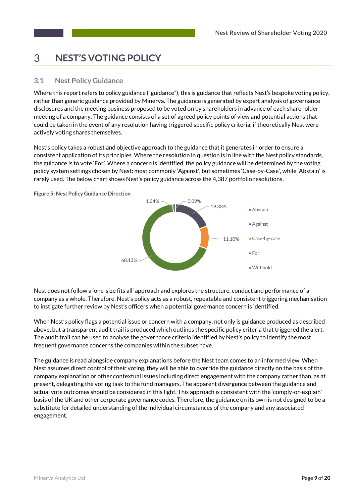#### **NEST'S VOTING POLICY** 3

## **3.1 Nest Policy Guidance**

Where this report refers to policy guidance ("guidance"), this is guidance that reflects Nest's bespoke voting policy, rather than generic guidance provided by Minerva. The guidance is generated by expert analysis of governance disclosures and the meeting business proposed to be voted on by shareholders in advance of each shareholder meeting of a company. The guidance consists of a set of agreed policy points of view and potential actions that could be taken in the event of any resolution having triggered specific policy criteria, if theoretically Nest were actively voting shares themselves.

Nest's policy takes a robust and objective approach to the guidance that it generates in order to ensure a consistent application of its principles. Where the resolution in question is in line with the Nest policy standards, the guidance is to vote 'For'. Where a concern is identified, the policy guidance will be determined by the voting policy system settings chosen by Nest: most commonly 'Against', but sometimes 'Case-by-Case', while 'Abstain' is rarely used. The below chart shows Nest's policy guidance across the 4,387 portfolio resolutions.





Nest does not follow a 'one-size fits all' approach and explores the structure, conduct and performance of a company as a whole. Therefore, Nest's policy acts as a robust, repeatable and consistent triggering mechanisation to instigate further review by Nest's officers when a potential governance concern is identified.

When Nest's policy flags a potential issue or concern with a company, not only is guidance produced as described above, but a transparent audit trail is produced which outlines the specific policy criteria that triggered the alert. The audit trail can be used to analyse the governance criteria identified by Nest's policy to identify the most frequent governance concerns the companies within the subset have.

The guidance is read alongside company explanations before the Nest team comes to an informed view. When Nest assumes direct control of their voting, they will be able to override the guidance directly on the basis of the company explanation or other contextual issues including direct engagement with the company rather than, as at present, delegating the voting task to the fund managers. The apparent divergence between the guidance and actual vote outcomes should be considered in this light. This approach is consistent with the 'comply-or-explain' basis of the UK and other corporate governance codes. Therefore, the guidance on its own is not designed to be a substitute for detailed understanding of the individual circumstances of the company and any associated engagement.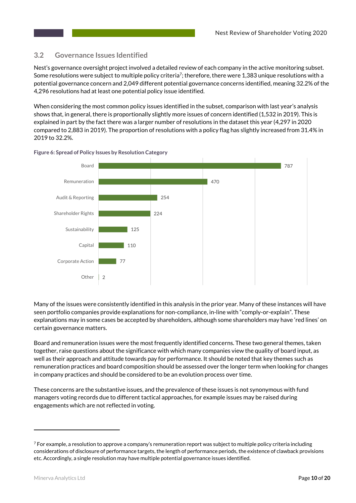#### **3.2 Governance Issues Identified**

Nest's governance oversight project involved a detailed review of each company in the active monitoring subset. Some resolutions were subject to multiple policy criteria<sup>7</sup>; therefore, there were 1,383 unique resolutions with a potential governance concern and 2,049 different potential governance concerns identified, meaning 32.2% of the 4,296 resolutions had at least one potential policy issue identified.

When considering the most common policy issues identified in the subset, comparison with last year's analysis shows that, in general, there is proportionally slightly more issues of concern identified (1,532 in 2019). This is explained in part by the fact there was a larger number of resolutions in the dataset this year (4,297 in 2020 compared to 2,883 in 2019). The proportion of resolutions with a policy flag has slightly increased from 31.4% in 2019 to 32.2%.



**Figure 6: Spread of Policy Issues by Resolution Category**

Many of the issues were consistently identified in this analysis in the prior year. Many of these instances will have seen portfolio companies provide explanations for non-compliance, in-line with "comply-or-explain". These explanations may in some cases be accepted by shareholders, although some shareholders may have 'red lines' on certain governance matters.

Board and remuneration issues were the most frequently identified concerns. These two general themes, taken together, raise questions about the significance with which many companies view the quality of board input, as well as their approach and attitude towards pay for performance. It should be noted that key themes such as remuneration practices and board composition should be assessed over the longer term when looking for changes in company practices and should be considered to be an evolution process over time.

These concerns are the substantive issues, and the prevalence of these issues is not synonymous with fund managers voting records due to different tactical approaches, for example issues may be raised during engagements which are not reflected in voting.

 $^7$  For example, a resolution to approve a company's remuneration report was subject to multiple policy criteria including considerations of disclosure of performance targets, the length of performance periods, the existence of clawback provisions etc. Accordingly, a single resolution may have multiple potential governance issues identified.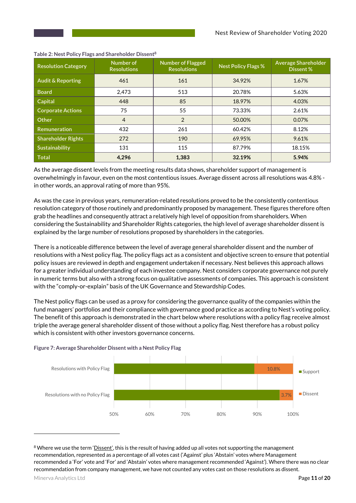| <b>Resolution Category</b>   | Number of<br><b>Resolutions</b> | <b>Number of Flagged</b><br><b>Resolutions</b> | <b>Nest Policy Flags %</b> | <b>Average Shareholder</b><br>Dissent % |
|------------------------------|---------------------------------|------------------------------------------------|----------------------------|-----------------------------------------|
| <b>Audit &amp; Reporting</b> | 461                             | 161                                            | 34.92%                     | 1.67%                                   |
| <b>Board</b>                 | 2.473                           | 513                                            | 20.78%                     | 5.63%                                   |
| Capital                      | 448                             | 85                                             | 18.97%                     | 4.03%                                   |
| <b>Corporate Actions</b>     | 75                              | 55                                             | 73.33%                     | 2.61%                                   |
| Other                        | 4                               | 2                                              | 50.00%                     | 0.07%                                   |
| Remuneration                 | 432                             | 261                                            | 60.42%                     | 8.12%                                   |
| <b>Shareholder Rights</b>    | 272                             | 190                                            | 69.95%                     | 9.61%                                   |
| <b>Sustainability</b>        | 131                             | 115                                            | 87.79%                     | 18.15%                                  |
| <b>Total</b>                 | 4.296                           | 1,383                                          | 32.19%                     | 5.94%                                   |

#### **Table 2: Nest Policy Flags and Shareholder Dissent8**

As the average dissent levels from the meeting results data shows, shareholder support of management is overwhelmingly in favour, even on the most contentious issues. Average dissent across all resolutions was 4.8% in other words, an approval rating of more than 95%.

As was the case in previous years, remuneration-related resolutions proved to be the consistently contentious resolution category of those routinely and predominantly proposed by management. These figures therefore often grab the headlines and consequently attract a relatively high level of opposition from shareholders. When considering the Sustainability and Shareholder Rights categories, the high level of average shareholder dissent is explained by the large number of resolutions proposed by shareholders in the categories.

There is a noticeable difference between the level of average general shareholder dissent and the number of resolutions with a Nest policy flag. The policy flags act as a consistent and objective screen to ensure that potential policy issues are reviewed in depth and engagement undertaken if necessary. Nest believes this approach allows for a greater individual understanding of each investee company. Nest considers corporate governance not purely in numeric terms but also with a strong focus on qualitative assessments of companies. This approach is consistent with the "comply-or-explain" basis of the UK Governance and Stewardship Codes.

The Nest policy flags can be used as a proxy for considering the governance quality of the companies within the fund managers' portfolios and their compliance with governance good practice as according to Nest's voting policy. The benefit of this approach is demonstrated in the chart below where resolutions with a policy flag receive almost triple the average general shareholder dissent of those without a policy flag. Nest therefore has a robust policy which is consistent with other investors governance concerns.

#### **Figure 7: Average Shareholder Dissent with a Nest Policy Flag**



<sup>&</sup>lt;sup>8</sup> Where we use the term 'Dissent', this is the result of having added up all votes not supporting the management recommendation, represented as a percentage of all votes cast ('Against' plus 'Abstain' votes where Management recommended a 'For' vote and 'For' and 'Abstain' votes where management recommended 'Against'). Where there was no clear recommendation from company management, we have not counted any votes cast on those resolutions as dissent.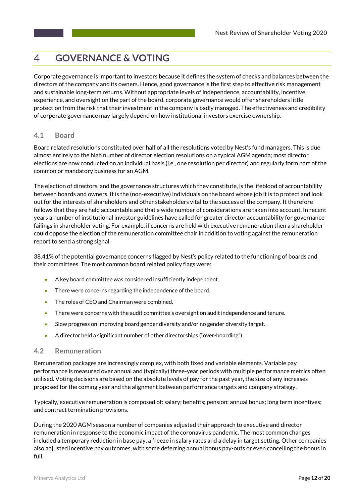#### **GOVERNANCE & VOTING**  $\overline{\mathcal{A}}$

Corporate governance is important to investors because it defines the system of checks and balances between the directors of the company and its owners. Hence, good governance is the first step to effective risk management and sustainable long-term returns. Without appropriate levels of independence, accountability, incentive, experience, and oversight on the part of the board, corporate governance would offer shareholders little protection from the risk that their investment in the company is badly managed. The effectiveness and credibility of corporate governance may largely depend on how institutional investors exercise ownership.

## **4.1 Board**

Board related resolutions constituted over half of all the resolutions voted by Nest's fund managers. This is due almost entirely to the high number of director election resolutions on a typical AGM agenda; most director elections are now conducted on an individual basis (i.e., one resolution per director) and regularly form part of the common or mandatory business for an AGM.

The election of directors, and the governance structures which they constitute, is the lifeblood of accountability between boards and owners. It is the (non-executive) individuals on the board whose job it is to protect and look out for the interests of shareholders and other stakeholders vital to the success of the company. It therefore follows that they are held accountable and that a wide number of considerations are taken into account. In recent years a number of institutional investor guidelines have called for greater director accountability for governance failings in shareholder voting. For example, if concerns are held with executive remuneration then a shareholder could oppose the election of the remuneration committee chair in addition to voting against the remuneration report to send a strong signal.

38.41% of the potential governance concerns flagged by Nest's policy related to the functioning of boards and their committees. The most common board related policy flags were:

- A key board committee was considered insufficiently independent.
- There were concerns regarding the independence of the board.
- The roles of CEO and Chairman were combined.
- There were concerns with the audit committee's oversight on audit independence and tenure.
- Slow progress on improving board gender diversity and/or no gender diversity target.
- A director held a significant number of other directorships ("over-boarding").

#### **4.2 Remuneration**

Remuneration packages are increasingly complex, with both fixed and variable elements. Variable pay performance is measured over annual and (typically) three-year periods with multiple performance metrics often utilised. Voting decisions are based on the absolute levels of pay for the past year, the size of any increases proposed for the coming year and the alignment between performance targets and company strategy.

Typically, executive remuneration is composed of: salary; benefits; pension; annual bonus; long term incentives; and contract termination provisions.

During the 2020 AGM season a number of companies adjusted their approach to executive and director remuneration in response to the economic impact of the coronavirus pandemic. The most common changes included a temporary reduction in base pay, a freeze in salary rates and a delay in target setting. Other companies also adjusted incentive pay outcomes, with some deferring annual bonus pay-outs or even cancelling the bonus in full.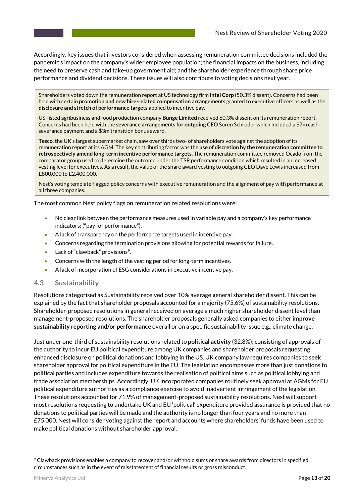Accordingly, key issues that investors considered when assessing remuneration committee decisions included the pandemic's impact on the company's wider employee population; the financial impacts on the business, including the need to preserve cash and take-up government aid; and the shareholder experience through share price performance and dividend decisions. These issues will also contribute to voting decisions next year.

Shareholders voted down the remuneration report at US technology firm **Intel Corp** (50.3% dissent). Concerns had been held with certain **promotion and new hire-related compensation arrangements** granted to executive officers as well as the **disclosure and stretch of performance targets** applied to incentive pay.

US-listed agribusiness and food production company **Bunge Limited** received 60.3% dissent on its remuneration report. Concerns had been held with the **severance arrangements for outgoing CEO** Soren Schroder which included a \$7m cash severance payment and a \$3m transition bonus award.

**Tesco**, the UK's largest supermarket chain, saw over thirds two- of shareholders vote against the adoption of its remuneration report at its AGM. The key contributing factor was the **use of discretion by the remuneration committee to retrospectively amend long-term incentive performance targets**. The remuneration committee removed Ocado from the comparator group used to determine the outcome under the TSR performance condition which resulted in an increased vesting level for executives. As a result, the value of the share award vesting to outgoing CEO Dave Lewis increased from £800,000 to £2,400,000.

Nest's voting template flagged policy concerns with executive remuneration and the alignment of pay with performance at all three companies.

The most common Nest policy flags on remuneration related resolutions were:

- No clear link between the performance measures used in variable pay and a company's key performance indicators; ("pay for performance").
- A lack of transparency on the performance targets used in incentive pay.
- Concerns regarding the termination provisions allowing for potential rewards for failure.
- Lack of "clawback" provisions<sup>9</sup>.
- Concerns with the length of the vesting period for long-term incentives.
- A lack of incorporation of ESG considerations in executive incentive pay.

#### **4.3 Sustainability**

Resolutions categorised as Sustainability received over 10% average general shareholder dissent. This can be explained by the fact that shareholder proposals accounted for a majority (75.6%) of sustainability resolutions. Shareholder-proposed resolutions in general received on average a much higher shareholder dissent level than management-proposed resolutions. The shareholder proposals generally asked companies to either **improve sustainability reporting and/or performance** overall or on a specific sustainability issue e.g., climate change.

Just under one-third of sustainability resolutions related to **political activity** (32.8%); consisting of approvals of the authority to incur EU political expenditure among UK companies and shareholder proposals requesting enhanced disclosure on political donations and lobbying in the US. UK company law requires companies to seek shareholder approval for political expenditure in the EU. The legislation encompasses more than just donations to political parties and includes expenditure towards the realisation of political aims such as political lobbying and trade association memberships. Accordingly, UK incorporated companies routinely seek approval at AGMs for EU political expenditure authorities as a compliance exercise to avoid inadvertent infringement of the legislation. These resolutions accounted for 71.9% of management-proposed sustainability resolutions. Nest will support most resolutions requesting to undertake UK and EU 'political' expenditure provided assurance is provided that no donations to political parties will be made and the authority is no longer than four years and no more than £75,000. Nest will consider voting against the report and accounts where shareholders' funds have been used to make political donations without shareholder approval.

<sup>9</sup> Clawback provisions enables a company to recover and/or withhold sums or share awards from directors in specified circumstances such as in the event of misstatement of financial results or gross misconduct.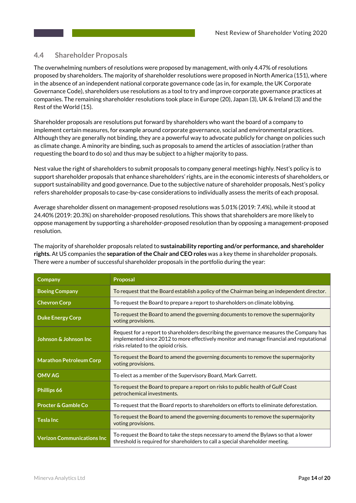#### **4.4 Shareholder Proposals**

The overwhelming numbers of resolutions were proposed by management, with only 4.47% of resolutions proposed by shareholders. The majority of shareholder resolutions were proposed in North America (151), where in the absence of an independent national corporate governance code (as in, for example, the UK Corporate Governance Code), shareholders use resolutions as a tool to try and improve corporate governance practices at companies. The remaining shareholder resolutions took place in Europe (20), Japan (3), UK & Ireland (3) and the Rest of the World (15).

Shareholder proposals are resolutions put forward by shareholders who want the board of a company to implement certain measures, for example around corporate governance, social and environmental practices. Although they are generally not binding, they are a powerful way to advocate publicly for change on policies such as climate change. A minority are binding, such as proposals to amend the articles of association (rather than requesting the board to do so) and thus may be subject to a higher majority to pass.

Nest value the right of shareholders to submit proposals to company general meetings highly. Nest's policy is to support shareholder proposals that enhance shareholders' rights, are in the economic interests of shareholders, or support sustainability and good governance. Due to the subjective nature of shareholder proposals, Nest's policy refers shareholder proposals to case-by-case considerations to individually assess the merits of each proposal.

Average shareholder dissent on management-proposed resolutions was 5.01% (2019: 7.4%), while it stood at 24.40% (2019: 20.3%) on shareholder-proposed resolutions. This shows that shareholders are more likely to oppose management by supporting a shareholder-proposed resolution than by opposing a management-proposed resolution.

The majority of shareholder proposals related to **sustainability reporting and/or performance, and shareholder rights.** At US companies the **separation of the Chair and CEO roles** was a key theme in shareholder proposals. There were a number of successful shareholder proposals in the portfolio during the year:

| Company                           | Proposal                                                                                                                                                                                                                   |  |  |  |
|-----------------------------------|----------------------------------------------------------------------------------------------------------------------------------------------------------------------------------------------------------------------------|--|--|--|
| <b>Boeing Company</b>             | To request that the Board establish a policy of the Chairman being an independent director.                                                                                                                                |  |  |  |
| <b>Chevron Corp</b>               | To request the Board to prepare a report to shareholders on climate lobbying.                                                                                                                                              |  |  |  |
| <b>Duke Energy Corp</b>           | To request the Board to amend the governing documents to remove the supermajority<br>voting provisions.                                                                                                                    |  |  |  |
| Johnson & Johnson Inc             | Request for a report to shareholders describing the governance measures the Company has<br>implemented since 2012 to more effectively monitor and manage financial and reputational<br>risks related to the opioid crisis. |  |  |  |
| <b>Marathon Petroleum Corp</b>    | To request the Board to amend the governing documents to remove the supermajority<br>voting provisions.                                                                                                                    |  |  |  |
| <b>OMV AG</b>                     | To elect as a member of the Supervisory Board, Mark Garrett.                                                                                                                                                               |  |  |  |
| Phillips 66                       | To request the Board to prepare a report on risks to public health of Gulf Coast<br>petrochemical investments.                                                                                                             |  |  |  |
| <b>Procter &amp; Gamble Co</b>    | To request that the Board reports to shareholders on efforts to eliminate deforestation.                                                                                                                                   |  |  |  |
| <b>Tesla Inc</b>                  | To request the Board to amend the governing documents to remove the supermajority<br>voting provisions.                                                                                                                    |  |  |  |
| <b>Verizon Communications Inc</b> | To request the Board to take the steps necessary to amend the Bylaws so that a lower<br>threshold is required for shareholders to call a special shareholder meeting.                                                      |  |  |  |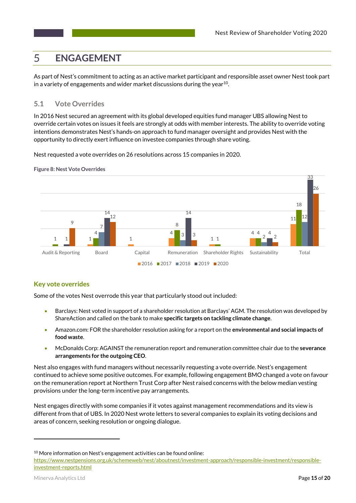#### **ENGAGEMENT** 5

As part of Nest's commitment to acting as an active market participant and responsible asset owner Nest took part in a variety of engagements and wider market discussions during the year<sup>10</sup>.

## **5.1 Vote Overrides**

In 2016 Nest secured an agreement with its global developed equities fund manager UBS allowing Nest to override certain votes on issues it feels are strongly at odds with member interests. The ability to override voting intentions demonstrates Nest's hands-on approach to fund manager oversight and provides Nest with the opportunity to directly exert influence on investee companies through share voting.

Nest requested a vote overrides on 26 resolutions across 15 companies in 2020.



**Figure 8: Nest Vote Overrides**

## **Key vote overrides**

Some of the votes Nest overrode this year that particularly stood out included:

- Barclays: Nest voted in support of a shareholder resolution at Barclays' AGM. The resolution was developed by ShareAction and called on the bank to make **specific targets on tackling climate change**.
- Amazon.com: FOR the shareholder resolution asking for a report on the **environmental and social impacts of food waste**.
- McDonalds Corp: AGAINST the remuneration report and remuneration committee chair due to the **severance arrangements for the outgoing CEO**.

Nest also engages with fund managers without necessarily requesting a vote override. Nest's engagement continued to achieve some positive outcomes. For example, following engagement BMO changed a vote on favour on the remuneration report at Northern Trust Corp after Nest raised concerns with the below median vesting provisions under the long-term incentive pay arrangements.

Nest engages directly with some companies if it votes against management recommendations and its view is different from that of UBS. In 2020 Nest wrote letters to several companies to explain its voting decisions and areas of concern, seeking resolution or ongoing dialogue.

 $\overline{a}$ 

 $10$  More information on Nest's engagement activities can be found online:

https://www.nestpensions.org.uk/schemeweb/nest/aboutnest/investment-approach/responsible-investment/responsibleinvestment-reports.html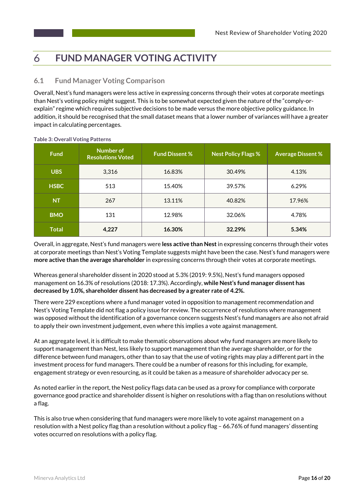#### **FUND MANAGER VOTING ACTIVITY** 6

## **6.1 Fund Manager Voting Comparison**

Overall, Nest's fund managers were less active in expressing concerns through their votes at corporate meetings than Nest's voting policy might suggest. This is to be somewhat expected given the nature of the "comply-orexplain" regime which requires subjective decisions to be made versus the more objective policy guidance. In addition, it should be recognised that the small dataset means that a lower number of variances will have a greater impact in calculating percentages.

| <b>Fund</b>  | <b>Number of</b><br><b>Resolutions Voted</b> | <b>Fund Dissent %</b> | Nest Policy Flags % | <b>Average Dissent %</b> |
|--------------|----------------------------------------------|-----------------------|---------------------|--------------------------|
| <b>UBS</b>   | 3,316                                        | 16.83%                | 30.49%              | 4.13%                    |
| <b>HSBC</b>  | 513                                          | 15.40%                | 39.57%              | 6.29%                    |
| <b>NT</b>    | 267                                          | 13.11%                | 40.82%              | 17.96%                   |
| <b>BMO</b>   | 131                                          | 12.98%                | 32.06%              | 4.78%                    |
| <b>Total</b> | 4,227                                        | 16.30%                | 32.29%              | 5.34%                    |

**Table 3: Overall Voting Patterns**

Overall, in aggregate, Nest's fund managers were **less active than Nest**in expressing concerns through their votes at corporate meetings than Nest's Voting Template suggests might have been the case. Nest's fund managers were **more active than the average shareholder** in expressing concerns through their votes at corporate meetings.

Whereas general shareholder dissent in 2020 stood at 5.3% (2019: 9.5%), Nest's fund managers opposed management on 16.3% of resolutions (2018: 17.3%). Accordingly, **while Nest's fund manager dissent has decreased by 1.0%, shareholder dissent has decreased by a greater rate of 4.2%.**

There were 229 exceptions where a fund manager voted in opposition to management recommendation and Nest's Voting Template did not flag a policy issue for review. The occurrence of resolutions where management was opposed without the identification of a governance concern suggests Nest's fund managers are also not afraid to apply their own investment judgement, even where this implies a vote against management.

At an aggregate level, it is difficult to make thematic observations about why fund managers are more likely to support management than Nest, less likely to support management than the average shareholder, or for the difference between fund managers, other than to say that the use of voting rights may play a different part in the investment process for fund managers. There could be a number of reasons for this including, for example, engagement strategy or even resourcing, as it could be taken as a measure of shareholder advocacy per se.

As noted earlier in the report, the Nest policy flags data can be used as a proxy for compliance with corporate governance good practice and shareholder dissent is higher on resolutions with a flag than on resolutions without a flag.

This is also true when considering that fund managers were more likely to vote against management on a resolution with a Nest policy flag than a resolution without a policy flag – 66.76% of fund managers' dissenting votes occurred on resolutions with a policy flag.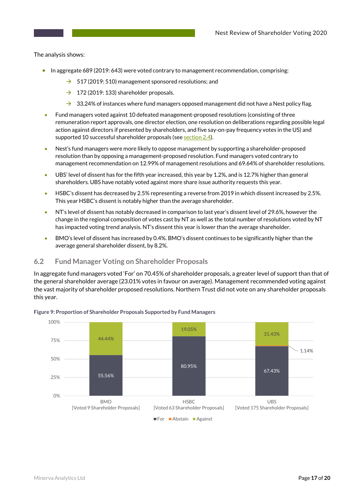The analysis shows:

- In aggregate 689 (2019: 643) were voted contrary to management recommendation, comprising:
	- $\rightarrow$  517 (2019: 510) management sponsored resolutions; and
	- $\rightarrow$  172 (2019: 133) shareholder proposals.
	- $\rightarrow$  33.24% of instances where fund managers opposed management did not have a Nest policy flag.
- Fund managers voted against 10 defeated management-proposed resolutions (consisting of three remuneration report approvals, one director election, one resolution on deliberations regarding possible legal action against directors if presented by shareholders, and five say-on-pay frequency votes in the US) and supported 10 successful shareholder proposals (see section 2.4).
- Nest's fund managers were more likely to oppose management by supporting a shareholder-proposed resolution than by opposing a management-proposed resolution. Fund managers voted contrary to management recommendation on 12.99% of management resolutions and 69.64% of shareholder resolutions.
- UBS' level of dissent has for the fifth year increased, this year by 1.2%, and is 12.7% higher than general shareholders. UBS have notably voted against more share issue authority requests this year.
- HSBC's dissent has decreased by 2.5% representing a reverse from 2019 in which dissent increased by 2.5%. This year HSBC's dissent is notably higher than the average shareholder.
- NT's level of dissent has notably decreased in comparison to last year's dissent level of 29.6%, however the change in the regional composition of votes cast by NT as well as the total number of resolutions voted by NT has impacted voting trend analysis. NT's dissent this year is lower than the average shareholder.
- BMO's level of dissent has increased by 0.4%. BMO's dissent continues to be significantly higher than the average general shareholder dissent, by 8.2%.

#### **6.2 Fund Manager Voting on Shareholder Proposals**

In aggregate fund managers voted 'For' on 70.45% of shareholder proposals, a greater level of support than that of the general shareholder average (23.01% votes in favour on average). Management recommended voting against the vast majority of shareholder proposed resolutions. Northern Trust did not vote on any shareholder proposals this year.



**Figure 9: Proportion of Shareholder Proposals Supported by Fund Managers**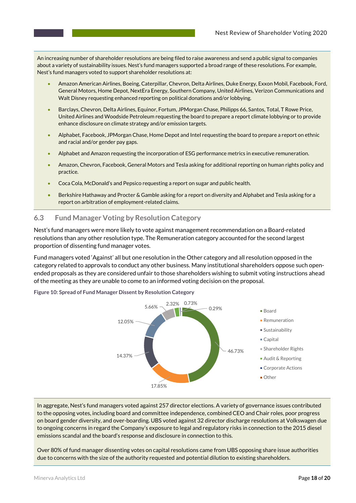An increasing number of shareholder resolutions are being filed to raise awareness and send a public signal to companies about a variety of sustainability issues. Nest's fund managers supported a broad range of these resolutions. For example, Nest's fund managers voted to support shareholder resolutions at:

- Amazon American Airlines, Boeing, Caterpillar, Chevron, Delta Airlines, Duke Energy, Exxon Mobil, Facebook, Ford, General Motors, Home Depot, NextEra Energy, Southern Company, United Airlines, Verizon Communications and Walt Disney requesting enhanced reporting on political donations and/or lobbying.
- Barclays, Chevron, Delta Airlines, Equinor, Fortum, JPMorgan Chase, Philipps 66, Santos, Total, T Rowe Price, United Airlines and Woodside Petroleum requesting the board to prepare a report climate lobbying or to provide enhance disclosure on climate strategy and/or emission targets.
- Alphabet, Facebook, JPMorgan Chase, Home Depot and Intel requesting the board to prepare a report on ethnic and racial and/or gender pay gaps.
- Alphabet and Amazon requesting the incorporation of ESG performance metrics in executive remuneration.
- Amazon, Chevron, Facebook, General Motors and Tesla asking for additional reporting on human rights policy and practice.
- Coca Cola, McDonald's and Pepsico requesting a report on sugar and public health.
- Berkshire Hathaway and Procter & Gamble asking for a report on diversity and Alphabet and Tesla asking for a report on arbitration of employment-related claims.

### **6.3 Fund Manager Voting by Resolution Category**

Nest's fund managers were more likely to vote against management recommendation on a Board-related resolutions than any other resolution type. The Remuneration category accounted for the second largest proportion of dissenting fund manager votes.

Fund managers voted 'Against' all but one resolution in the Other category and all resolution opposed in the category related to approvals to conduct any other business. Many institutional shareholders oppose such openended proposals as they are considered unfair to those shareholders wishing to submit voting instructions ahead of the meeting as they are unable to come to an informed voting decision on the proposal.

**Figure 10: Spread of Fund Manager Dissent by Resolution Category**



In aggregate, Nest's fund managers voted against 257 director elections. A variety of governance issues contributed to the opposing votes, including board and committee independence, combined CEO and Chair roles, poor progress on board gender diversity, and over-boarding. UBS voted against 32 director discharge resolutions at Volkswagen due to ongoing concerns in regard the Company's exposure to legal and regulatory risks in connection to the 2015 diesel emissions scandal and the board's response and disclosure in connection to this.

Over 80% of fund manager dissenting votes on capital resolutions came from UBS opposing share issue authorities due to concerns with the size of the authority requested and potential dilution to existing shareholders.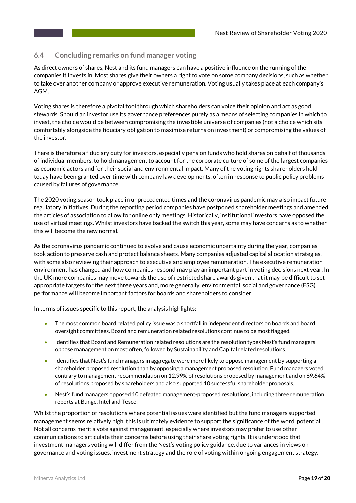### **6.4 Concluding remarks on fund manager voting**

As direct owners of shares, Nest and its fund managers can have a positive influence on the running of the companies it invests in. Most shares give their owners a right to vote on some company decisions, such as whether to take over another company or approve executive remuneration. Voting usually takes place at each company's AGM.

Voting shares is therefore a pivotal tool through which shareholders can voice their opinion and act as good stewards. Should an investor use its governance preferences purely as a means of selecting companies in which to invest, the choice would be between compromising the investible universe of companies (not a choice which sits comfortably alongside the fiduciary obligation to maximise returns on investment) or compromising the values of the investor.

There is therefore a fiduciary duty for investors, especially pension funds who hold shares on behalf of thousands of individual members, to hold management to account for the corporate culture of some of the largest companies as economic actors and for their social and environmental impact. Many of the voting rights shareholders hold today have been granted over time with company law developments, often in response to public policy problems caused by failures of governance.

The 2020 voting season took place in unprecedented times and the coronavirus pandemic may also impact future regulatory initiatives. During the reporting period companies have postponed shareholder meetings and amended the articles of association to allow for online only meetings. Historically, institutional investors have opposed the use of virtual meetings. Whilst investors have backed the switch this year, some may have concerns as to whether this will become the new normal.

As the coronavirus pandemic continued to evolve and cause economic uncertainty during the year, companies took action to preserve cash and protect balance sheets. Many companies adjusted capital allocation strategies, with some also reviewing their approach to executive and employee remuneration. The executive remuneration environment has changed and how companies respond may play an important part in voting decisions next year. In the UK more companies may move towards the use of restricted share awards given that it may be difficult to set appropriate targets for the next three years and, more generally, environmental, social and governance (ESG) performance will become important factors for boards and shareholders to consider.

In terms of issues specific to this report, the analysis highlights:

- The most common board related policy issue was a shortfall in independent directors on boards and board oversight committees. Board and remuneration related resolutions continue to be most flagged.
- Identifies that Board and Remuneration related resolutions are the resolution types Nest's fund managers oppose management on most often, followed by Sustainability and Capital related resolutions.
- Identifies that Nest's fund managers in aggregate were more likely to oppose management by supporting a shareholder proposed resolution than by opposing a management proposed resolution. Fund managers voted contrary to management recommendation on 12.99% of resolutions proposed by management and on 69.64% of resolutions proposed by shareholders and also supported 10 successful shareholder proposals.
- Nest's fund managers opposed 10 defeated management-proposed resolutions, including three remuneration reports at Bunge, Intel and Tesco.

Whilst the proportion of resolutions where potential issues were identified but the fund managers supported management seems relatively high, this is ultimately evidence to support the significance of the word 'potential'. Not all concerns merit a vote against management, especially where investors may prefer to use other communications to articulate their concerns before using their share voting rights. It is understood that investment managers voting will differ from the Nest's voting policy guidance, due to variances in views on governance and voting issues, investment strategy and the role of voting within ongoing engagement strategy.